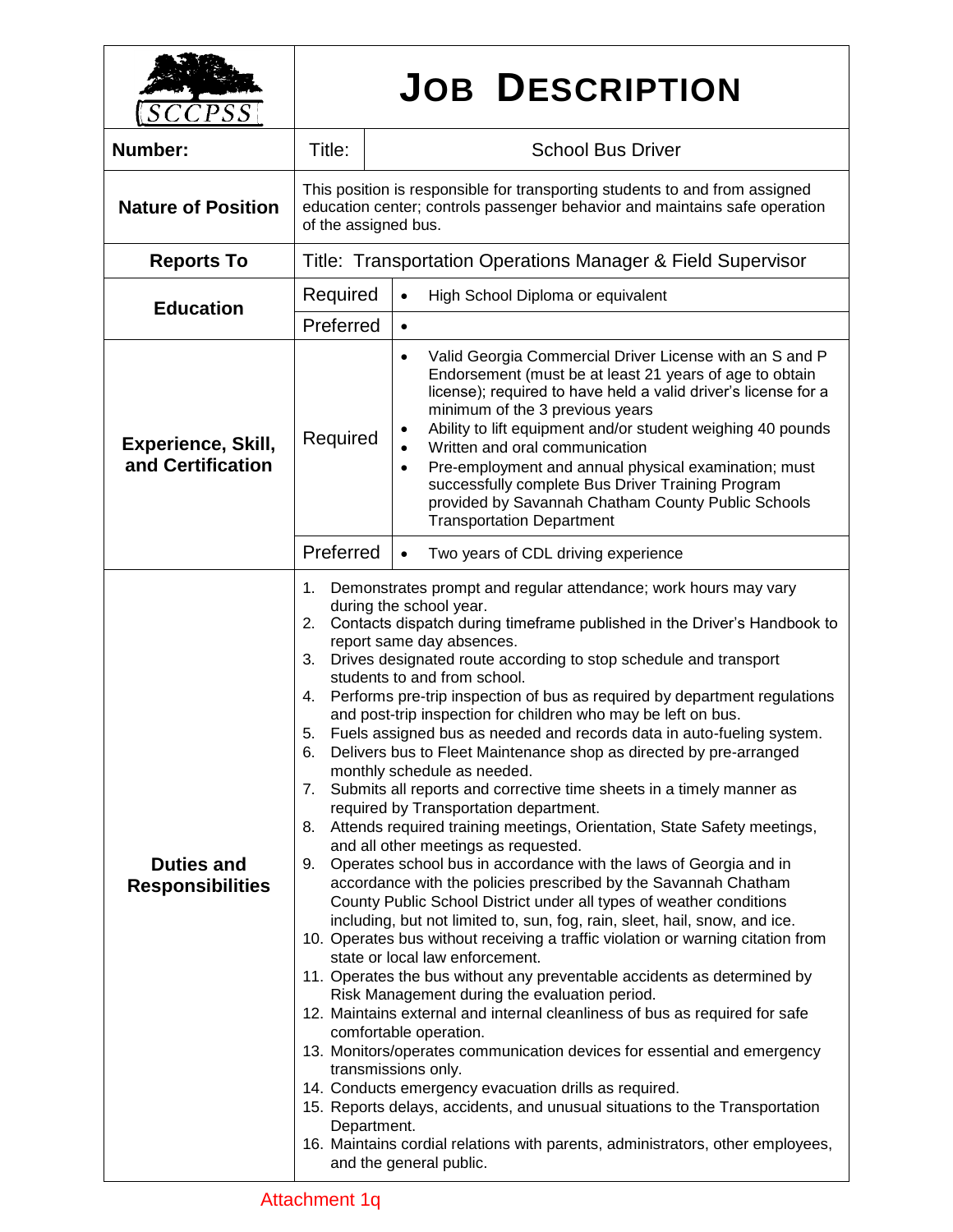| <i>CCPSS</i>                                   | <b>JOB DESCRIPTION</b>                                                                                                                                                                                                                                                                                                                                                                                                                                                                                                                                                                                                                                                                                                                                                                                                                                                                                                                                                                                                                                                                                                                                                                                                                                                                                                                                                                                                                                                                                                                                                                                                                                                                                                                                                                                                                                                                                                                                       |                                                                                                                                                                                                                                                                                                                                                                                                                                                                                                                                                                        |  |
|------------------------------------------------|--------------------------------------------------------------------------------------------------------------------------------------------------------------------------------------------------------------------------------------------------------------------------------------------------------------------------------------------------------------------------------------------------------------------------------------------------------------------------------------------------------------------------------------------------------------------------------------------------------------------------------------------------------------------------------------------------------------------------------------------------------------------------------------------------------------------------------------------------------------------------------------------------------------------------------------------------------------------------------------------------------------------------------------------------------------------------------------------------------------------------------------------------------------------------------------------------------------------------------------------------------------------------------------------------------------------------------------------------------------------------------------------------------------------------------------------------------------------------------------------------------------------------------------------------------------------------------------------------------------------------------------------------------------------------------------------------------------------------------------------------------------------------------------------------------------------------------------------------------------------------------------------------------------------------------------------------------------|------------------------------------------------------------------------------------------------------------------------------------------------------------------------------------------------------------------------------------------------------------------------------------------------------------------------------------------------------------------------------------------------------------------------------------------------------------------------------------------------------------------------------------------------------------------------|--|
| Number:                                        | Title:                                                                                                                                                                                                                                                                                                                                                                                                                                                                                                                                                                                                                                                                                                                                                                                                                                                                                                                                                                                                                                                                                                                                                                                                                                                                                                                                                                                                                                                                                                                                                                                                                                                                                                                                                                                                                                                                                                                                                       | <b>School Bus Driver</b>                                                                                                                                                                                                                                                                                                                                                                                                                                                                                                                                               |  |
| <b>Nature of Position</b>                      | This position is responsible for transporting students to and from assigned<br>education center; controls passenger behavior and maintains safe operation<br>of the assigned bus.                                                                                                                                                                                                                                                                                                                                                                                                                                                                                                                                                                                                                                                                                                                                                                                                                                                                                                                                                                                                                                                                                                                                                                                                                                                                                                                                                                                                                                                                                                                                                                                                                                                                                                                                                                            |                                                                                                                                                                                                                                                                                                                                                                                                                                                                                                                                                                        |  |
| <b>Reports To</b>                              | Title: Transportation Operations Manager & Field Supervisor                                                                                                                                                                                                                                                                                                                                                                                                                                                                                                                                                                                                                                                                                                                                                                                                                                                                                                                                                                                                                                                                                                                                                                                                                                                                                                                                                                                                                                                                                                                                                                                                                                                                                                                                                                                                                                                                                                  |                                                                                                                                                                                                                                                                                                                                                                                                                                                                                                                                                                        |  |
| <b>Education</b>                               | Required                                                                                                                                                                                                                                                                                                                                                                                                                                                                                                                                                                                                                                                                                                                                                                                                                                                                                                                                                                                                                                                                                                                                                                                                                                                                                                                                                                                                                                                                                                                                                                                                                                                                                                                                                                                                                                                                                                                                                     | High School Diploma or equivalent<br>$\bullet$                                                                                                                                                                                                                                                                                                                                                                                                                                                                                                                         |  |
|                                                | Preferred                                                                                                                                                                                                                                                                                                                                                                                                                                                                                                                                                                                                                                                                                                                                                                                                                                                                                                                                                                                                                                                                                                                                                                                                                                                                                                                                                                                                                                                                                                                                                                                                                                                                                                                                                                                                                                                                                                                                                    | $\bullet$                                                                                                                                                                                                                                                                                                                                                                                                                                                                                                                                                              |  |
| <b>Experience, Skill,</b><br>and Certification | Required                                                                                                                                                                                                                                                                                                                                                                                                                                                                                                                                                                                                                                                                                                                                                                                                                                                                                                                                                                                                                                                                                                                                                                                                                                                                                                                                                                                                                                                                                                                                                                                                                                                                                                                                                                                                                                                                                                                                                     | Valid Georgia Commercial Driver License with an S and P<br>$\bullet$<br>Endorsement (must be at least 21 years of age to obtain<br>license); required to have held a valid driver's license for a<br>minimum of the 3 previous years<br>Ability to lift equipment and/or student weighing 40 pounds<br>Written and oral communication<br>$\bullet$<br>Pre-employment and annual physical examination; must<br>$\bullet$<br>successfully complete Bus Driver Training Program<br>provided by Savannah Chatham County Public Schools<br><b>Transportation Department</b> |  |
|                                                | Preferred                                                                                                                                                                                                                                                                                                                                                                                                                                                                                                                                                                                                                                                                                                                                                                                                                                                                                                                                                                                                                                                                                                                                                                                                                                                                                                                                                                                                                                                                                                                                                                                                                                                                                                                                                                                                                                                                                                                                                    | Two years of CDL driving experience<br>$\bullet$                                                                                                                                                                                                                                                                                                                                                                                                                                                                                                                       |  |
| <b>Duties and</b><br><b>Responsibilities</b>   | Demonstrates prompt and regular attendance; work hours may vary<br>1.<br>during the school year.<br>Contacts dispatch during timeframe published in the Driver's Handbook to<br>2.<br>report same day absences.<br>Drives designated route according to stop schedule and transport<br>3.<br>students to and from school.<br>Performs pre-trip inspection of bus as required by department regulations<br>4.<br>and post-trip inspection for children who may be left on bus.<br>Fuels assigned bus as needed and records data in auto-fueling system.<br>5.<br>Delivers bus to Fleet Maintenance shop as directed by pre-arranged<br>6.<br>monthly schedule as needed.<br>Submits all reports and corrective time sheets in a timely manner as<br>7.<br>required by Transportation department.<br>Attends required training meetings, Orientation, State Safety meetings,<br>8.<br>and all other meetings as requested.<br>Operates school bus in accordance with the laws of Georgia and in<br>9.<br>accordance with the policies prescribed by the Savannah Chatham<br>County Public School District under all types of weather conditions<br>including, but not limited to, sun, fog, rain, sleet, hail, snow, and ice.<br>10. Operates bus without receiving a traffic violation or warning citation from<br>state or local law enforcement.<br>11. Operates the bus without any preventable accidents as determined by<br>Risk Management during the evaluation period.<br>12. Maintains external and internal cleanliness of bus as required for safe<br>comfortable operation.<br>13. Monitors/operates communication devices for essential and emergency<br>transmissions only.<br>14. Conducts emergency evacuation drills as required.<br>15. Reports delays, accidents, and unusual situations to the Transportation<br>Department.<br>16. Maintains cordial relations with parents, administrators, other employees,<br>and the general public. |                                                                                                                                                                                                                                                                                                                                                                                                                                                                                                                                                                        |  |

٦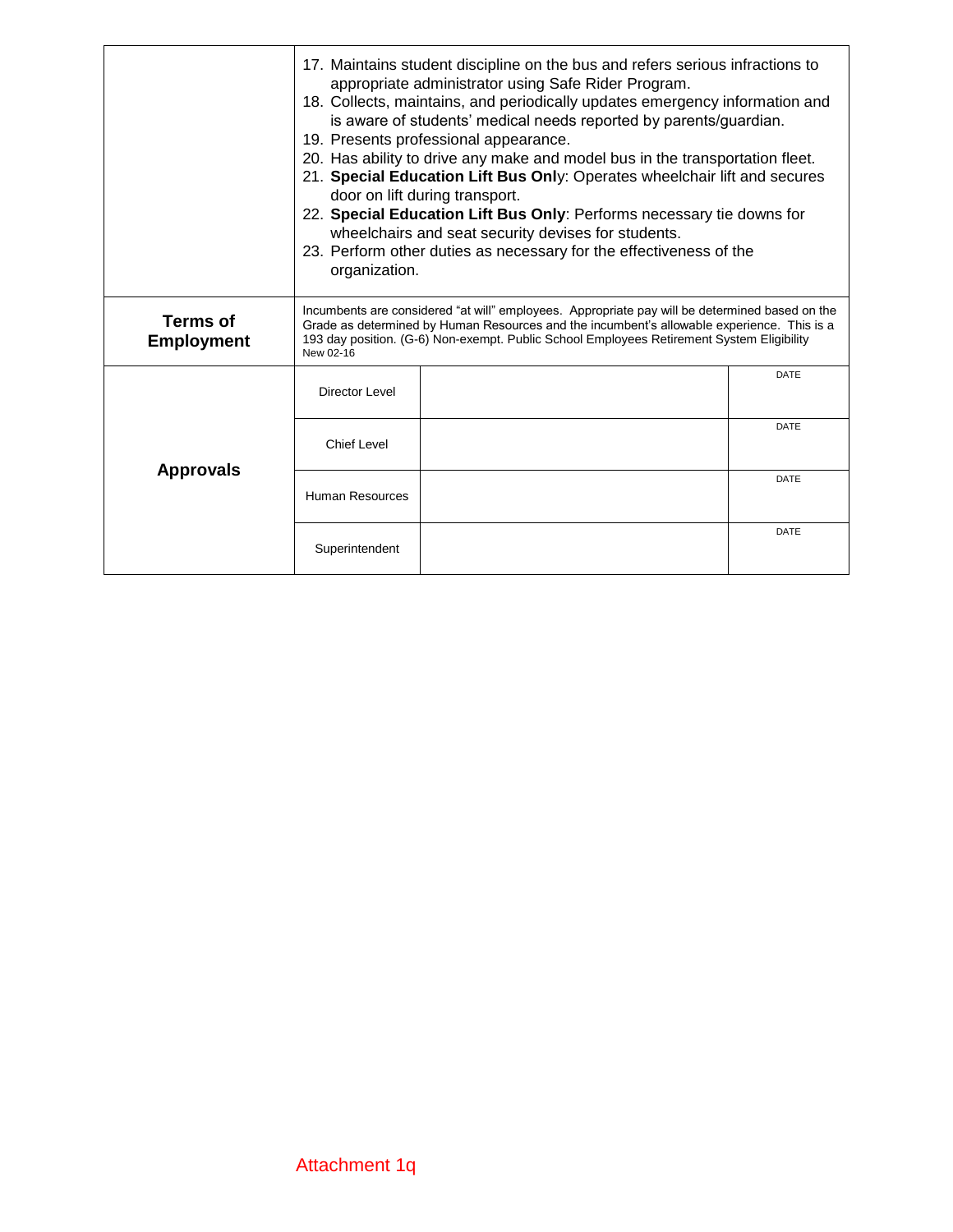|                                      | 17. Maintains student discipline on the bus and refers serious infractions to<br>appropriate administrator using Safe Rider Program.<br>18. Collects, maintains, and periodically updates emergency information and<br>is aware of students' medical needs reported by parents/guardian.<br>19. Presents professional appearance.<br>20. Has ability to drive any make and model bus in the transportation fleet.<br>21. Special Education Lift Bus Only: Operates wheelchair lift and secures<br>door on lift during transport.<br>22. Special Education Lift Bus Only: Performs necessary tie downs for<br>wheelchairs and seat security devises for students.<br>23. Perform other duties as necessary for the effectiveness of the<br>organization. |  |             |  |  |
|--------------------------------------|---------------------------------------------------------------------------------------------------------------------------------------------------------------------------------------------------------------------------------------------------------------------------------------------------------------------------------------------------------------------------------------------------------------------------------------------------------------------------------------------------------------------------------------------------------------------------------------------------------------------------------------------------------------------------------------------------------------------------------------------------------|--|-------------|--|--|
| <b>Terms of</b><br><b>Employment</b> | Incumbents are considered "at will" employees. Appropriate pay will be determined based on the<br>Grade as determined by Human Resources and the incumbent's allowable experience. This is a<br>193 day position. (G-6) Non-exempt. Public School Employees Retirement System Eligibility<br>New 02-16                                                                                                                                                                                                                                                                                                                                                                                                                                                  |  |             |  |  |
| <b>Approvals</b>                     | Director Level                                                                                                                                                                                                                                                                                                                                                                                                                                                                                                                                                                                                                                                                                                                                          |  | <b>DATE</b> |  |  |
|                                      | <b>Chief Level</b>                                                                                                                                                                                                                                                                                                                                                                                                                                                                                                                                                                                                                                                                                                                                      |  | <b>DATE</b> |  |  |
|                                      | <b>Human Resources</b>                                                                                                                                                                                                                                                                                                                                                                                                                                                                                                                                                                                                                                                                                                                                  |  | <b>DATE</b> |  |  |
|                                      | Superintendent                                                                                                                                                                                                                                                                                                                                                                                                                                                                                                                                                                                                                                                                                                                                          |  | <b>DATE</b> |  |  |